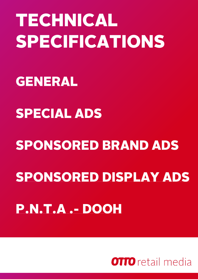# <span id="page-0-0"></span>TECHNICAL SPECIFICATIONS

## [GENERAL](#page-0-0)

## [SPECIAL ADS](#page-5-0)

# [SPONSORED BRAND ADS](#page-6-0) [SPONSORED DISPLAY ADS](#page-7-0) [P.N.T.A .-](#page-11-0) DOOH

**OTTO** retail media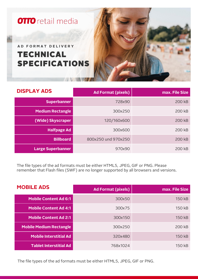

| <b>DISPLAY ADS</b>       | <b>Ad Format (pixels)</b> | max. File Size |
|--------------------------|---------------------------|----------------|
| <b>Superbanner</b>       | 728x90                    | 200 kB         |
| <b>Medium Rectangle</b>  | 300x250                   | 200 kB         |
| (Wide) Skyscraper        | 120/160x600               | 200 kB         |
| <b>Halfpage Ad</b>       | 300x600                   | 200 kB         |
| <b>Billboard</b>         | 800x250 und 970x250       | 200 kB         |
| <b>Large Superbanner</b> | 970x90                    | 200 kB         |

The file types of the ad formats must be either HTML5, JPEG, GIF or PNG. Please remember that Flash files (SWF) are no longer supported by all browsers and versions.

| <b>MOBILE ADS</b>              | <b>Ad Format (pixels)</b> | max. File Size |
|--------------------------------|---------------------------|----------------|
| <b>Mobile Content Ad 6:1</b>   | 300x50                    | 150 kB         |
| <b>Mobile Content Ad 4:1</b>   | 300x75                    | 150 kB         |
| <b>Mobile Content Ad 2:1</b>   | 300x150                   | 150 kB         |
| <b>Mobile Medium Rectangle</b> | 300x250                   | 200 kB         |
| <b>Mobile Interstitial Ad</b>  | 320x480                   | 150 kB         |
| <b>Tablet Interstitial Ad</b>  | 768x1024                  | 150 kB         |

The file types of the ad formats must be either HTML5, JPEG, GIF or PNG.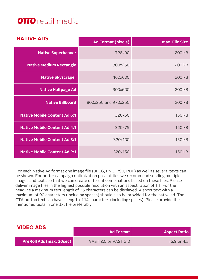| <b>NATIVE ADS</b>                   | <b>Ad Format (pixels)</b> | max. File Size |
|-------------------------------------|---------------------------|----------------|
| <b>Native Superbanner</b>           | 728x90                    | 200 kB         |
| <b>Native Medium Rectangle</b>      | 300x250                   | 200 kB         |
| <b>Native Skyscraper</b>            | 160x600                   | 200 kB         |
| <b>Native Halfpage Ad</b>           | 300x600                   | 200 kB         |
| <b>Native Billboard</b>             | 800x250 und 970x250       | <b>200 kB</b>  |
| <b>Native Mobile Content Ad 6:1</b> | 320x50                    | 150 kB         |
| <b>Native Mobile Content Ad 4:1</b> | 320x75                    | 150 kB         |
| <b>Native Mobile Content Ad 3:1</b> | 320x100                   | 150 kB         |
| <b>Native Mobile Content Ad 2:1</b> | 320x150                   | 150 kB         |

For each Native Ad format one image file (JPEG, PNG, PSD, PDF) as well as several texts can be shown. For better campaign optimization possibilities we recommend sending multiple images and texts so that we can create different combinations based on these files. Please deliver image files in the highest possible resolution with an aspect ration of 1:1. For the headline a maximum text length of 35 characters can be displayed. A short text with a maximum of 90 characters (including spaces) should also be provided for the native ad. The CTA button text can have a length of 14 characters (including spaces). Please provide the mentioned texts in one .txt file preferably.

| <b>VIDEO ADS</b>                | <b>Ad Format</b>     | <b>Aspect Ratio</b> |
|---------------------------------|----------------------|---------------------|
| <b>PreRoll Ads (max. 30sec)</b> | VAST 2.0 or VAST 3.0 | 16:9 or 4:3         |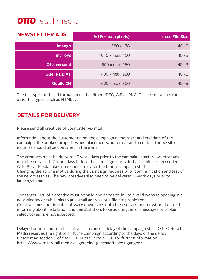| <b>NEWSLETTER ADS</b> | <b>Ad Format (pixels)</b> | max. File Size |
|-----------------------|---------------------------|----------------|
| Limango               | 580 x 178                 | 40 kB          |
| myToys                | 1040 x max. 450           | 40 kB          |
| <b>Ottoversand</b>    | 600 x max. 150            | 40 kB          |
| <b>Quelle DE AT</b>   | 400 x max. 280            | 40 kB          |
| Quelle CH             | 600 x max. 300            | 40 kB          |

The file types of the ad formats must be either JPEG, GIF or PNG. Please contact us for other file types, such as HTML5.

#### **DETAILS FOR DELIVERY**

Please send all creatives of your order via [mail](mailto:creatives@ottogroup.media).

Information about the customer name, the campaign name, start and end date of the campaign, the booked properties and placements, ad format and a contact for possible inquiries should all be contained in the e-mail.

The creatives must be delivered 5 work days prior to the campaign start. Newsletter ads must be delivered 10 work days before the campaign starts. If these limits are exceeded, Otto Retail Media takes no responsibility for the timely campaign start. Changing the ad or a motive during the campaign requires prior communication and test of the new creatives. The new creatives also need to be delivered 5 work days prior to launch/change.

The target URL of a creative must be valid and needs to link to a valid website opening in a new window or tab. Links to an e-mail address or a file are prohibited. Creatives must not initiate software downloads onto the users computer without explicit informing about installation and deinstallation. Fake ads (e.g. error messages or broken select boxes) are not accepted.

Delayed or non-compliant creatives can cause a delay of the campaign start. OTTO Retail Media reserves the right to shift the campaign according to the days of the delay. Please read section 5 of the OTTO Retail Media GTC for further information: <https://www.ottoretail.media/allgemeine-geschaeftsbedingungen/>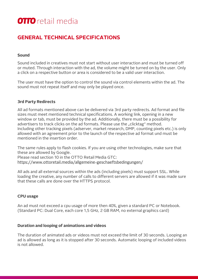#### **GENERAL TECHNICAL SPECIFICATIONS**

#### **Sound**

Sound included in creatives must not start without user interaction and must be turned off or muted. Through interaction with the ad, the volume might be turned on by the user. Only a click on a respective button or area is considered to be a valid user interaction.

The user must have the option to control the sound via control elements within the ad. The sound must not repeat itself and may only be played once.

#### **3rd Party Redirects**

All ad formats mentioned above can be delivered via 3rd party redirects. Ad format and file sizes must meet mentioned technical specifications. A working link, opening in a new window or tab, must be provided by the ad. Additionally, there must be a possibility for advertisers to track clicks on the ad formats. Please use the "clicktag" method. Including other tracking pixels (adserver, market research, DMP, counting pixels etc.) is only allowed with an agreement prior to the launch of the respective ad format und must be mentioned in the insertion order.

The same rules apply to flash cookies. If you are using other technologies, make sure that these are allowed by Google.

Please read section 10 in the OTTO Retail Media GTC:

<https://www.ottoretail.media/allgemeine-geschaeftsbedingungen/>

All ads and all external sources within the ads (including pixels) must support SSL. While loading the creative, any number of calls to different servers are allowed if it was made sure that these calls are done over the HTTPS protocol.

#### **CPU usage**

An ad must not exceed a cpu usage of more then 40%, given a standard PC or Notebook. (Standard PC: Dual Core, each core 1,5 GHz, 2 GB RAM, no external graphics card)

#### **Duration and looping of animations and videos**

The duration of animated ads or videos must not exceed the limit of 30 seconds. Looping an ad is allowed as long as it is stopped after 30 seconds. Automatic looping of included videos is not allowed.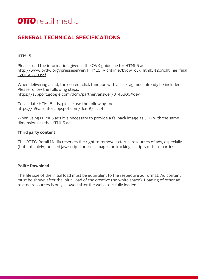#### <span id="page-5-0"></span>**GENERAL TECHNICAL SPECIFICATIONS**

#### **HTML5**

Please read the information given in the OVK guideline for HTML5 ads: [http://www.bvdw.org/presseserver/HTML5\\_Richtlinie/bvdw\\_ovk\\_html5%20richtlinie\\_final](http://www.bvdw.org/presseserver/HTML5_Richtlinie/bvdw_ovk_html5%20richtlinie_final_20150720.pdf) \_20150720.pdf

When delivering an ad, the correct click function with a clicktag must already be included. Please follow the following steps: <https://support.google.com/dcm/partner/answer/3145300#dev>

To validate HTML5 ads, please use the following tool: <https://h5validator.appspot.com/dcm#/asset>

When using HTML5 ads it is necessary to provide a fallback image as JPG with the same dimensions as the HTML5 ad.

#### **Third party content**

The OTTO Retail Media reserves the right to remove external resources of ads, especially (but not solely) unused javascript libraries, images or trackings scripts of third parties.

#### **Polite Download**

The file size of the initial load must be equivalent to the respective ad format. Ad content must be shown after the initial load of the creative (no white space). Loading of other ad related resources is only allowed after the website is fully loaded.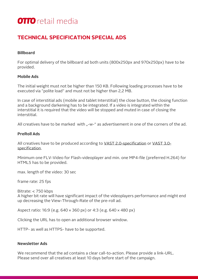#### <span id="page-6-0"></span>**TECHNICAL SPECIFICATION SPECIAL ADS**

#### **Billboard**

For optimal delivery of the billboard ad both units (800x250px and 970x250px) have to be provided.

#### **Mobile Ads**

The initial weight must not be higher than 150 KB. Following loading processes have to be executed via "polite load" and must not be higher than 2,2 MB.

In case of interstitial ads (mobile and tablet Interstitial) the close button, the closing function and a background darkening has to be integrated. If a video is integrated within the interstitial it is required that the video will be stopped and muted in case of closing the interstitial.

All creatives have to be marked with "-w-" as advertisement in one of the corners of the ad.

#### **PreRoll Ads**

[All creatives have to be produced according to VAST](http://www.iab.com/guidelines/digital-video-ad-serving-template-vast-3-0/) [2.0-specification](http://www.iab.com/guidelines/digital-video-ad-serving-template-vast-2-0/) or VAST 3.0 specification.

Minimum one FLV-Video for Flash-videoplayer and min. one MP4-file (preferred H.264) for HTML5 has to be provided.

max. length of the video: 30 sec

frame rate: 25 fps

Bitrate: < 750 kbps

A higher bit rate will have significant impact of the videoplayers performance and might end up decreasing the View-Through-Rate of the pre-roll ad.

Aspect ratio: 16:9 (e.g. 640 × 360 px) or 4:3 (e.g. 640 × 480 px)

Clicking the URL has to open an additional browser window.

HTTP- as well as HTTPS- have to be supported.

#### **Newsletter Ads**

We recommend that the ad contains a clear call-to-action. Please provide a link-URL. Please send over all creatives at least 10 days before start of the campaign.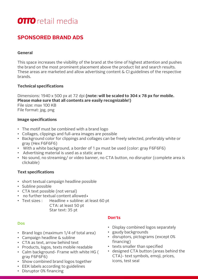#### <span id="page-7-0"></span>**SPONSORED BRAND ADS**

#### **General**

This space increases the visibility of the brand at the time of highest attention and pushes the brand on the most prominent placement above the product list and search results. These areas are marketed and allow advertising content & CI guidelines of the respective brands.

#### **Technical specifications**

Dimensions: 1940 x 500 px at 72 dpi **(note: will be scaled to 304 x 78 px for mobile. Please make sure that all contents are easily recognizable!)** File size: max 100 KB File format: jpg, png

#### **Image specifications**

- The motif must be combined with a brand logo
- Collages, clippings and full-area images are possible
- Background color for clippings and collages can be freely selected, preferably white or gray (Hex F6F6F6)
- With a white background, a border of 1 px must be used (color: gray F6F6F6)
- Advertising material is used as a static area
- No sound, no streaming/ or video banner, no CTA button, no disruptor (complete area is clickable)

#### **Text specifications**

- short textual campaign headline possible
- Subline possible
- CTA text possible (not versal)
- no further textual content allowed •
- Text sizes : Headline + subline: at least 60 pt

CTA: at least 50 pt Star text: 35 pt

#### **Dos**

- Brand logo (maximum 1/4 of total area)
- Campaign headline & subline
- CTA as text, arrow behind text
- Products, logos, texts mobile readable
- Calm background- Frame with white HG ( gray F6F6F6)
- Show combined brand logos together
- EEK labels according to guidelines
- Disruptor 0% financing

#### **Don'ts**

- Display combined logos separately
- gaudy backgrounds
- disruptors, pictograms (except 0% financing)
- texts smaller than specified
- designed CTA button (areas behind the CTA)- text symbols, emoji, prices, icons, test seal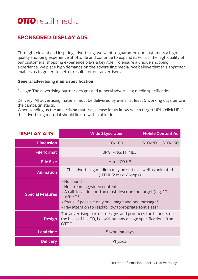#### **SPONSORED DISPLAY ADS**

Through relevant and inspiring advertising, we want to guarantee our customers a highquality shopping experience at otto.de and continue to expand it. For us, the high quality of our customers' shopping experience plays a key role. To ensure a unique shopping experience, we place high demands on the advertising media. We believe that this approach enables us to generate better results for our advertisers.

#### **General advertising media specification**

Design: The advertising partner designs and general advertising media specification

Delivery: All advertising material must be delivered by e-mail at least 5 working days before the campaign starts.

When sending us the advertising material, please let us know which target URL (click URL) the advertising material should link to within otto.de.

| <b>DISPLAY ADS</b>      | <b>Wide Skyscraper</b>                                                                                                                                                                                                                      | <b>Mobile Content Ad</b> |  |
|-------------------------|---------------------------------------------------------------------------------------------------------------------------------------------------------------------------------------------------------------------------------------------|--------------------------|--|
| <b>Dimension</b>        | 160x600                                                                                                                                                                                                                                     | 600x300, 300x150         |  |
| <b>File format</b>      | JPG, PNG, HTML5                                                                                                                                                                                                                             |                          |  |
| <b>File Size</b>        | Max. 100 KB                                                                                                                                                                                                                                 |                          |  |
| <b>Animation</b>        | The advertising medium may be static as well as animated<br>(HTML5: Max. 2 loops)                                                                                                                                                           |                          |  |
| <b>Special Features</b> | • No sound<br>• No streaming/video content<br>• A call-to-action button must describe the target (e.g. "To<br>$offer")^*$<br>• focus: if possible only one image and one message*<br>• Pay attention to readability/appropriate font sizes* |                          |  |
| <b>Design</b>           | The advertising partner designs and produces the banners on<br>the basis of his CD, i.e. without any design specifications from<br>OTTO.                                                                                                    |                          |  |
| <b>Lead time</b>        | 5 working days                                                                                                                                                                                                                              |                          |  |
| <b>Delivery</b>         | Physical                                                                                                                                                                                                                                    |                          |  |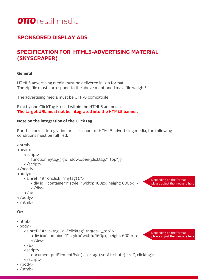

#### **SPONSORED DISPLAY ADS**

#### **SPECIFICATION FOR HTML5-ADVERTISING MATERIAL (SKYSCRAPER)**

#### **General**

HTML5 advertising media must be delivered in .zip format. The zip file must correspond to the above mentioned max. file weight!

The advertising media must be UTF-8 compatible.

Exactly one ClickTag is used within the HTML5 ad media. **The target URL must not be integrated into the HTML5 banner.**

#### **Note on the integration of the ClickTag**

For the correct integration or click-count of HTML5 advertising media, the following conditions must be fulfilled:

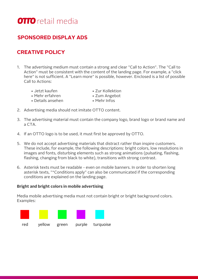

#### **SPONSORED DISPLAY ADS**

#### **CREATIVE POLICY**

- 1. The advertising medium must contain a strong and clear "Call to Action". The "Call to Action" must be consistent with the content of the landing page. For example, a "click here" is not sufficient. A "Learn more" is possible, however. Enclosed is a list of possible Call to Actions:
	- Jetzt kaufen Zur Kollektion
	- Mehr erfahren Zum Angebot
	- Details ansehen Mehr Infos
- 
- -
- 2. Advertising media should not imitate OTTO content.
- 3. The advertising material must contain the company logo, brand logo or brand name and a CTA.
- 4. If an OTTO logo is to be used, it must first be approved by OTTO.
- 5. We do not accept advertising materials that distract rather than inspire customers. These include, for example, the following descriptions: bright colors, low resolutions in images and fonts, disturbing elements such as strong animations (pulsating, flashing, flashing, changing from black to white), transitions with strong contrast.
- 6. Asterisk texts must be readable even on mobile banners. In order to shorten long asterisk texts, "\*Conditions apply" can also be communicated if the corresponding conditions are explained on the landing page.

#### **Bright and bright colors in mobile advertising**

Media mobile advertising media must not contain bright or bright background colors. Examples:

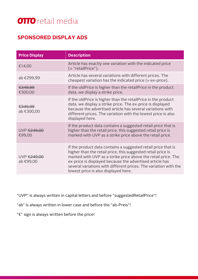#### <span id="page-11-0"></span>**SPONSORED DISPLAY ADS**

| <b>Price Display</b>     | <b>Description</b>                                                                                                                                                                                                                                                                                                                                                     |
|--------------------------|------------------------------------------------------------------------------------------------------------------------------------------------------------------------------------------------------------------------------------------------------------------------------------------------------------------------------------------------------------------------|
| €14,00                   | Article has exactly one variation with the indicated price<br>$($ = "retailPrice").                                                                                                                                                                                                                                                                                    |
| ab €299,99               | Article has several variations with different prices. The<br>cheapest variation has the indicated price $(= ex-price)$ .                                                                                                                                                                                                                                               |
| €349,99<br>€300,00       | If the oldPrice is higher than the retailPrice in the product<br>data, we display a strike price.                                                                                                                                                                                                                                                                      |
| €349,99<br>ab €300,00    | If the oldPrice is higher than the retailPrice in the product<br>data, we display a strike price. The ex-price is displayed<br>because the advertised article has several variations with<br>different prices. The variation with the lowest price is also<br>displayed here.                                                                                          |
| UVP €249,00<br>€99,00    | If the product data contains a suggested retail price that is<br>higher than the retail price, this suggested retail price is<br>marked with UVP as a strike price above the retail price.                                                                                                                                                                             |
| UVP €249,00<br>ab €99,00 | If the product data contains a suggested retail price that is<br>higher than the retail price, this suggested retail price is<br>marked with UVP as a strike price above the retail price. The<br>ex-price is displayed because the advertised article has<br>several variations with different prices. The variation with the<br>lowest price is also displayed here. |

"UVP" is always written in capital letters and before "suggestedRetailPrice"!

"ab" is always written in lower case and before the "ab-Preis"!

"€" sign is always written before the price!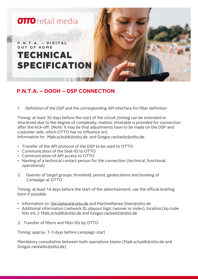

#### **P.N.T.A. – DOOH – DSP CONNECTION**

1. Definition of the DSP and the corresponding API interface for filter definition

Timing: at least 30 days before the start of the circuit (timing can be extended or shortened due to the degree of complexity; realistic timetable is provided for connection after the kick-off. (Note: It may be that adjustments have to be made on the DSP and customer side, which OTTO has no influence on).

Information to: [Maik.schuldt@otto.de](mailto:Maik.schuldt@otto.de) and [Gregor.rackwitz@otto.de](mailto:Gregor.rackwitz@otto.de)

- Transfer of the API protocol of the DSP to be used to OTTO
- Communication of the Seat-ID to OTTO
- Communication of API access to OTTO
- Naming of a technical contact person for the connection (technical, functional, operational)
- 2. Queries of target groups, threshold, period, geolocations and booking of Campaign at OTTO

Timing: at least 14 days before the start of the advertisement; use the official briefing form if possible.

- Information to: [Siiri.beland@otto.de a](mailto:Siiri.beland@otto.de)nd [MartineRenee.Stein@otto.de](mailto:MartineRenee.Stein@otto.de)
- Additional information (network ID, playout logic (winner or index), location/zip code lists etc.): [Maik.schuldt@otto.de a](mailto:Maik.schuldt@otto.de)nd [Gregor.rackwitz@otto.de](mailto:Gregor.rackwitz@otto.de)
- 3. Transfer of filters and filter IDs by OTTO

Timing: approx. 7-3 days before campaign start

Mandatory consultation between both operations teams [\(Maik.schuldt@otto.de a](mailto:Maik.schuldt@otto.de)nd [Gregor.rackwitz@otto.de](mailto:Gregor.rackwitz@otto.de))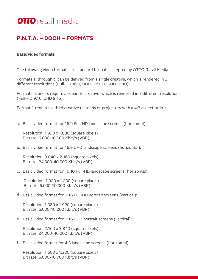#### **P.N.T.A. – DOOH – FORMATS**

#### **Basic video formats**

The following video formats are standard formats accepted by OTTO Retail Media.

Formats a. through c. can be derived from a single creative, which is rendered in 3 different resolutions (Full-HD 16:9, UHD 16:9, Full-HD 16:10).

Formats d. and e. require a separate creative, which is rendered in 2 different resolutions (Full-HD 9:16, UHD 9:16).

Format f. requires a third creative (screens or projectors with a 4:3 aspect ratio):

a. Basic video format for 16:9 Full-HD landscape screens (horizontal):

Resolution: 1.920 x 1.080 (square pixels) Bit rate: 6.000-10.000 Kbit/s (VBR)

b. Basic video format for 16:9 UHD landscape screens (horizontal):

Resolution: 3.840 x 2.160 (square pixels) Bit rate: 24.000-40.000 Kbit/s (VBR)

c. Basic video format for 16:10 Full-HD landscape screens (horizontal):

Resolution: 1.920 x 1.200 (square pixels) Bit rate: 6.000-10.000 Kbit/s (VBR)

d. Basic video format for 9:16 Full-HD portrait screens (vertical):

Resolution: 1.080 x 1.920 (square pixels) Bit rate: 6.000-10.000 Kbit/s (VBR)

e. Basic video format for 9:16 UHD portrait screens (vertical):

Resolution: 2.160 x 3.840 (square pixels) Bit rate: 24.000-40.000 Kbit/s (VBR)

f. Basic video format for 4:3 landscape screens (horizontal):

Resolution: 1.600 x 1.200 (square pixels) Bit rate: 6.000-10.000 Kbit/s (VBR)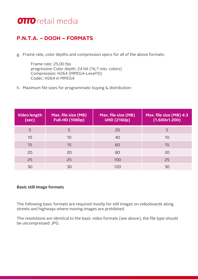#### **P.N.T.A. – DOOH – FORMATS**

g. Frame rate, color depths and compression specs for all of the above formats:

Frame rate: 25,00 fps progressive Color depth: 24 bit (16,7 mio. colors) Compression: H264 (MPEG4-Level10) Codec: H264 in MPEG4

h. Maximum file sizes for programmatic buying & distribution:

| <b>Video length</b><br>(sec) | Max. file size (MB)<br><b>Full-HD (1080p)</b> | Max. file size (MB)<br><b>UHD (2160p)</b> | Max. file size (MB) 4:3<br>(1.600x1.200) |
|------------------------------|-----------------------------------------------|-------------------------------------------|------------------------------------------|
| 5                            | 5                                             | 20                                        | 5                                        |
| 10                           | 10                                            | 40                                        | 10                                       |
| 15                           | 15                                            | 60                                        | 15                                       |
| 20                           | 20                                            | 80                                        | 20                                       |
| 25                           | 25                                            | 100                                       | 25                                       |
| 30                           | 30                                            | 120                                       | 30                                       |

#### **Basic still image formats**

The following basic formats are required mostly for still images on videoboards along streets and highways where moving images are prohibited.

The resolutions are identical to the basic video formats (see above), the file type should be uncompressed JPG.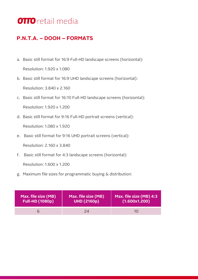#### **P.N.T.A. – DOOH – FORMATS**

a. Basic still format for 16:9 Full-HD landscape screens (horizontal):

Resolution: 1.920 x 1.080

b. Basic still format for 16:9 UHD landscape screens (horizontal):

Resolution: 3.840 x 2.160

- c. Basic still format for 16:10 Full-HD landscape screens (horizontal): Resolution: 1.920 x 1.200
- d. Basic still format for 9:16 Full-HD portrait screens (vertical):

Resolution: 1.080 x 1.920

e. Basic still format for 9:16 UHD portrait screens (vertical):

Resolution: 2.160 x 3.840

f. Basic still format for 4:3 landscape screens (horizontal):

Resolution: 1.600 x 1.200

g. Maximum file sizes for programmatic buying & distribution:

| Max. file size (MB)    | Max. file size (MB) | Max. file size (MB) 4:3 |
|------------------------|---------------------|-------------------------|
| <b>Full-HD (1080p)</b> | <b>UHD (2160p)</b>  | (1.600x1.200)           |
|                        | 24                  | 10                      |